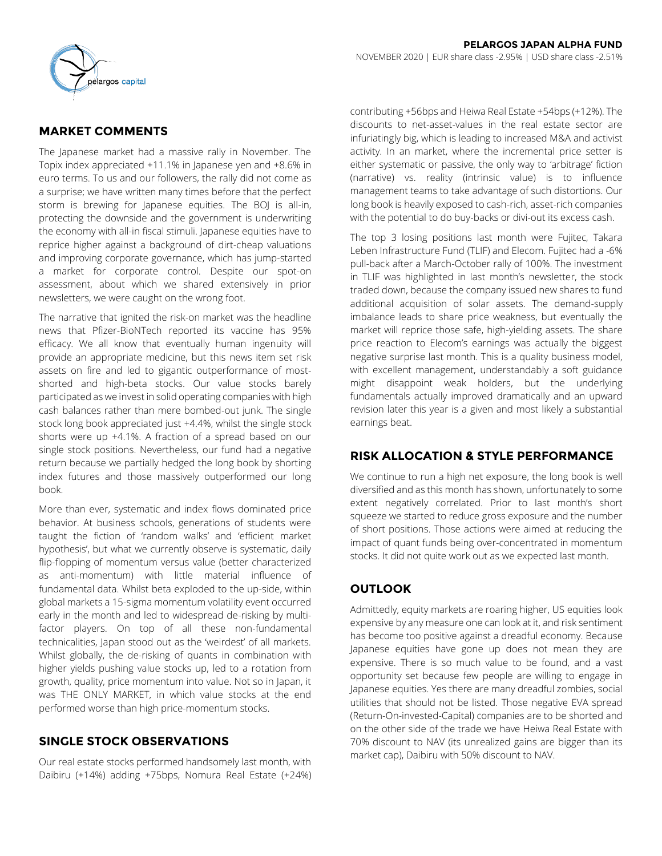

# **MARKET COMMENTS**

The Japanese market had a massive rally in November. The Topix index appreciated +11.1% in Japanese yen and +8.6% in euro terms. To us and our followers, the rally did not come as a surprise; we have written many times before that the perfect storm is brewing for Japanese equities. The BOJ is all-in, protecting the downside and the government is underwriting the economy with all-in fiscal stimuli. Japanese equities have to reprice higher against a background of dirt-cheap valuations and improving corporate governance, which has jump-started a market for corporate control. Despite our spot-on assessment, about which we shared extensively in prior newsletters, we were caught on the wrong foot.

The narrative that ignited the risk-on market was the headline news that Pfizer-BioNTech reported its vaccine has 95% efficacy. We all know that eventually human ingenuity will provide an appropriate medicine, but this news item set risk assets on fire and led to gigantic outperformance of mostshorted and high-beta stocks. Our value stocks barely participated as we invest in solid operating companies with high cash balances rather than mere bombed-out junk. The single stock long book appreciated just +4.4%, whilst the single stock shorts were up +4.1%. A fraction of a spread based on our single stock positions. Nevertheless, our fund had a negative return because we partially hedged the long book by shorting index futures and those massively outperformed our long book.

More than ever, systematic and index flows dominated price behavior. At business schools, generations of students were taught the fiction of 'random walks' and 'efficient market hypothesis', but what we currently observe is systematic, daily flip-flopping of momentum versus value (better characterized as anti-momentum) with little material influence of fundamental data. Whilst beta exploded to the up-side, within global markets a 15-sigma momentum volatility event occurred early in the month and led to widespread de-risking by multifactor players. On top of all these non-fundamental technicalities, Japan stood out as the 'weirdest' of all markets. Whilst globally, the de-risking of quants in combination with higher yields pushing value stocks up, led to a rotation from growth, quality, price momentum into value. Not so in Japan, it was THE ONLY MARKET, in which value stocks at the end performed worse than high price-momentum stocks.

## **SINGLE STOCK OBSERVATIONS**

Our real estate stocks performed handsomely last month, with Daibiru (+14%) adding +75bps, Nomura Real Estate (+24%) contributing +56bps and Heiwa Real Estate +54bps (+12%). The discounts to net-asset-values in the real estate sector are infuriatingly big, which is leading to increased M&A and activist activity. In an market, where the incremental price setter is either systematic or passive, the only way to 'arbitrage' fiction (narrative) vs. reality (intrinsic value) is to influence management teams to take advantage of such distortions. Our long book is heavily exposed to cash-rich, asset-rich companies with the potential to do buy-backs or divi-out its excess cash.

The top 3 losing positions last month were Fujitec, Takara Leben Infrastructure Fund (TLIF) and Elecom. Fujitec had a -6% pull-back after a March-October rally of 100%. The investment in TLIF was highlighted in last month's newsletter, the stock traded down, because the company issued new shares to fund additional acquisition of solar assets. The demand-supply imbalance leads to share price weakness, but eventually the market will reprice those safe, high-yielding assets. The share price reaction to Elecom's earnings was actually the biggest negative surprise last month. This is a quality business model, with excellent management, understandably a soft guidance might disappoint weak holders, but the underlying fundamentals actually improved dramatically and an upward revision later this year is a given and most likely a substantial earnings beat.

# **RISK ALLOCATION & STYLE PERFORMANCE**

We continue to run a high net exposure, the long book is well diversified and as this month has shown, unfortunately to some extent negatively correlated. Prior to last month's short squeeze we started to reduce gross exposure and the number of short positions. Those actions were aimed at reducing the impact of quant funds being over-concentrated in momentum stocks. It did not quite work out as we expected last month.

# **OUTLOOK**

Admittedly, equity markets are roaring higher, US equities look expensive by any measure one can look at it, and risk sentiment has become too positive against a dreadful economy. Because Japanese equities have gone up does not mean they are expensive. There is so much value to be found, and a vast opportunity set because few people are willing to engage in Japanese equities. Yes there are many dreadful zombies, social utilities that should not be listed. Those negative EVA spread (Return-On-invested-Capital) companies are to be shorted and on the other side of the trade we have Heiwa Real Estate with 70% discount to NAV (its unrealized gains are bigger than its market cap), Daibiru with 50% discount to NAV.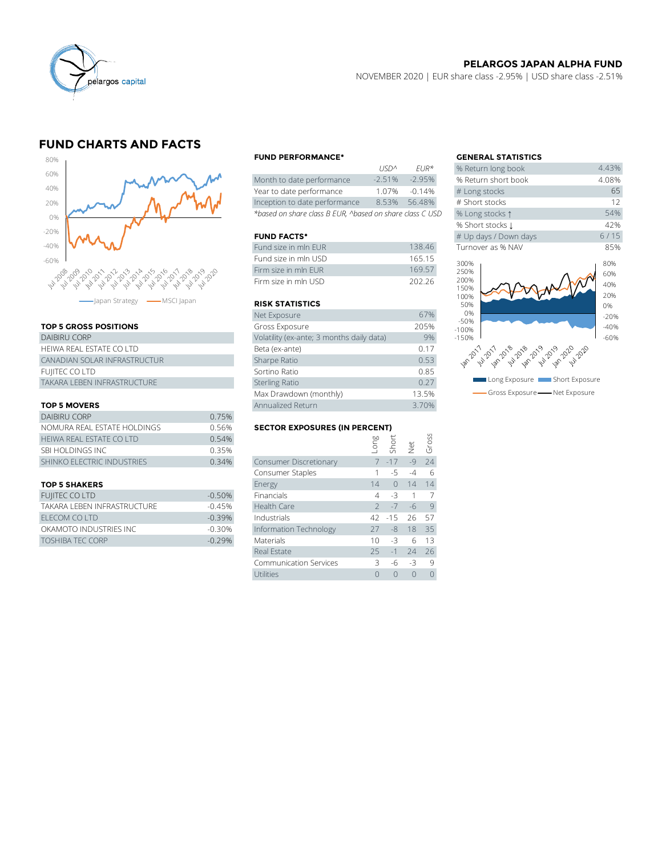

## **PELARGOS JAPAN ALPHA FUND**

NOVEMBER 2020 | EUR share class -2.95% | USD share class -2.51%

# **FUND CHARTS AND FACTS**



### **TOP 5 GROSS POSITIONS**

| DAIBIRU CORP                 | Volatility (ex-ante; 3 months daily data) |
|------------------------------|-------------------------------------------|
| HEIWA REAL ESTATE CO LTD     | Beta (ex-ante)                            |
| CANADIAN SOLAR INFRASTRUCTUR | Sharpe Ratio                              |
| FUJITEC CO LTD               | Sortino Ratio                             |
| TAKARA LEBEN INFRASTRUCTURE  | <b>Sterling Ratio</b>                     |
|                              |                                           |

## **TOP 5 MOVERS**

|                             |                   | Max Drawdown (monthly)               |       |          | 13.5%                |       |
|-----------------------------|-------------------|--------------------------------------|-------|----------|----------------------|-------|
| <b>TOP 5 MOVERS</b>         | Annualized Return |                                      | 3.70% |          |                      |       |
| DAIBIRU CORP                | 0.75%             |                                      |       |          |                      |       |
| NOMURA REAL ESTATE HOLDINGS | 0.56%             | <b>SECTOR EXPOSURES (IN PERCENT)</b> |       |          |                      |       |
| HEIWA REAL ESTATE CO LTD    | 0.54%             |                                      | suo.  |          |                      | Gross |
| SBI HOLDINGS INC            | 0.35%             |                                      |       | Shor     | $\frac{1}{\sqrt{2}}$ |       |
| SHINKO ELECTRIC INDUSTRIES  | 0.34%             | <b>Consumer Discretionary</b>        |       | $7 - 17$ | $-Q$                 | 24    |
|                             |                   | Consumer Staples                     |       |          | $-4$                 | 6     |
|                             |                   |                                      |       |          |                      |       |

| FUJITEC CO LTD               | $-0.50\%$ | <b>Financials</b>      | 4 -3 1 7        |  |
|------------------------------|-----------|------------------------|-----------------|--|
| TAKARA I FBFN INFRASTRUCTURF | $-0.45%$  | Health Care            | $2 - 7 - 6$ 9   |  |
| FLECOM COLTD                 | $-0.39\%$ | Industrials            | 42 -15 26 57    |  |
| OKAMOTO INDUSTRIES INC       | $-0.30\%$ | Information Technology | 27 -8 18 35     |  |
| <b>TOSHIBA TEC CORP</b>      | $-0.29%$  | Materials              | $10 - 3 = 6$ 13 |  |

### **FUND PERFORMANCE\* GENERAL STATISTICS**

|                                                          | 11511'          | $F11K^{\prime\prime}$ | % Return iong DOOK  |
|----------------------------------------------------------|-----------------|-----------------------|---------------------|
| Month to date performance                                | $-2.51%$        | $-2.95%$              | % Return short book |
| Year to date performance                                 | 1.07%           | $-0.14%$              | # Long stocks       |
| Inception to date performance                            | 8.53%           | 56.48%                | # Short stocks      |
| *based on share class B EUR, ^based on share class C USD | % Long stocks 1 |                       |                     |

### **FUND FACTS\***

| Fund size in mln EUR  | 138.46 | Turnover as % NAV |
|-----------------------|--------|-------------------|
| Fund size in mln USD  | 165.15 | 300%              |
| Firm size in mln FUR  | 169.57 | 250%              |
| Firm size in mln USD. | 202.26 | 200%<br>10001     |

## **RISK STATISTICS**

| Firm size in mln FUR                      | 169.57 |
|-------------------------------------------|--------|
| Firm size in mln USD                      | 202.26 |
|                                           |        |
| <b>RISK STATISTICS</b>                    |        |
| Net Exposure                              | 67%    |
| Gross Exposure                            | 205%   |
| Volatility (ex-ante; 3 months daily data) | 9%     |
| Beta (ex-ante)                            | 0.17   |
| Sharpe Ratio                              | 0.53   |
| Sortino Ratio                             | 0.85   |
| <b>Sterling Ratio</b>                     | 0.27   |
| Max Drawdown (monthly)                    | 13.5%  |
| Annualized Return                         | 3.70%  |

### **SECTOR EXPOSURES (IN PERCENT)**

| <b>DAIBIRU CORP</b>               | 0.75%                                |                               |      |           |          |          |  |
|-----------------------------------|--------------------------------------|-------------------------------|------|-----------|----------|----------|--|
| NOMURA REAL ESTATE HOLDINGS       | <b>SECTOR EXPOSURES (IN PERCENT)</b> |                               |      |           |          |          |  |
| HEIWA REAL ESTATE CO LTD          | 0.54%                                |                               | -ong | Short     |          | Gross    |  |
| SBI HOLDINGS INC                  | 0.35%                                |                               |      |           | Net      |          |  |
| <b>SHINKO ELECTRIC INDUSTRIES</b> | 0.34%                                | Consumer Discretionary        |      | $7 - 17$  | $-9$     | 24       |  |
|                                   |                                      | Consumer Staples              |      | -5        | $-4$     | 6        |  |
| <b>TOP 5 SHAKERS</b>              |                                      | Energy                        | 14   | $\bigcap$ | 14       | 14       |  |
| <b>FUIITEC CO LTD</b>             | $-0.50%$                             | Financials                    | 4    | $-3$      |          | 7        |  |
| TAKARA LEBEN INFRASTRUCTURE       | $-0.45%$                             | <b>Health Care</b>            |      | $-7$      | -6       | 9        |  |
| ELECOM CO LTD                     | $-0.39%$                             | Industrials                   | 42   | $-15$     | 26       | 57       |  |
| OKAMOTO INDUSTRIES INC            | $-0.30%$                             | Information Technology        | 27   | $-8$      | 18       | 35       |  |
| <b>TOSHIBA TEC CORP</b>           | $-0.29%$                             | Materials                     | 10   | -3        | 6        | 13       |  |
|                                   |                                      | Real Estate                   | 25   | $-1$      | 24       | 26       |  |
|                                   |                                      | <b>Communication Services</b> | 3    | -6        | -3       | 9        |  |
|                                   |                                      | Utilities                     |      | $\Omega$  | $\Omega$ | $\Omega$ |  |
|                                   |                                      |                               |      |           |          |          |  |

|          |                      | <b>GENERAL STATISTICS</b>               |                  |
|----------|----------------------|-----------------------------------------|------------------|
| USD^     | $EUR*$               | % Return long book                      | 4.43%            |
| $-2.51%$ | $-2.95%$             | % Return short book                     | 4.08%            |
| 1.07%    | $-0.14%$             | # Long stocks                           | 65               |
| 8.53%    | 56.48%               | # Short stocks                          | 12               |
|          | on share class C USD | % Long stocks 1                         | 54%              |
|          |                      | % Short stocks J                        | 42%              |
|          |                      | # Up days / Down days                   | $6/15$           |
|          | 138.46               | Turnover as % NAV                       | 85%              |
|          | 165.15<br>169.57     | 300%<br>250%                            | 80%<br>60%       |
|          | 202.26               | 200%<br>150%<br>100%<br>50%             | 40%<br>20%<br>0% |
|          | 67%                  | 0%                                      | $-20%$           |
|          | 205%                 | $-50%$<br>$-100%$                       | $-40%$           |
| ata)     | 9%                   | $-150%$                                 | $-60%$           |
|          | 0.17                 |                                         |                  |
|          | 0.53                 | 10-12-12-12-12-12-12-12-12-12-12-12     |                  |
|          | 0.85                 |                                         |                  |
|          | 0.27                 | Long Exposure <b>The Short Exposure</b> |                  |
|          | 13.5%                | Gross Exposure - Net Exposure           |                  |
|          |                      |                                         |                  |